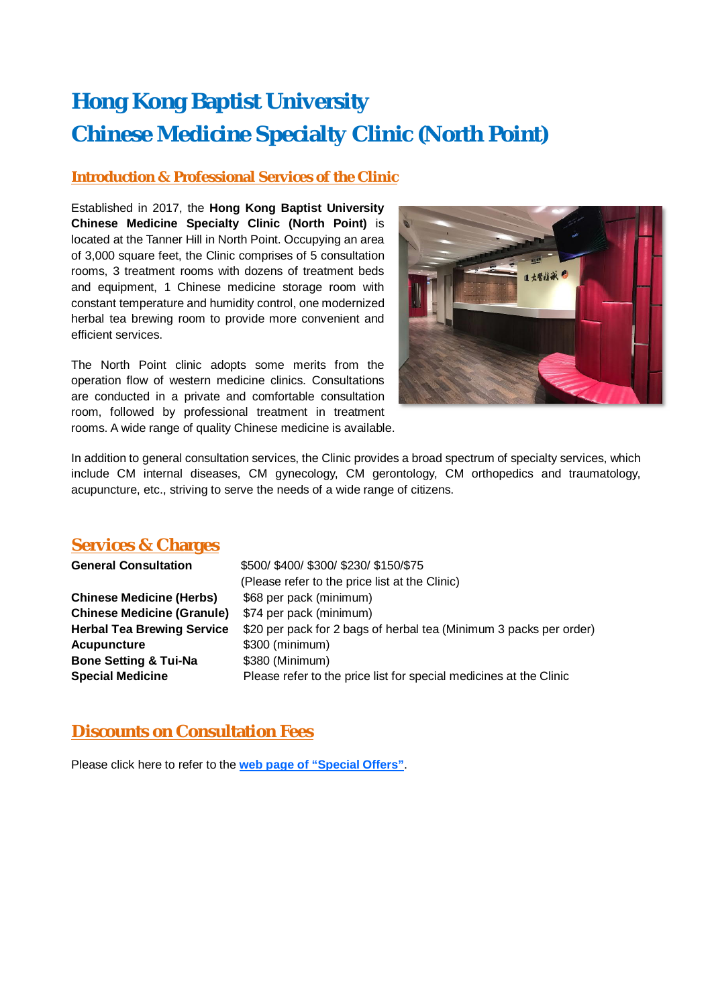# **Hong Kong Baptist University Chinese Medicine Specialty Clinic (North Point)**

#### **Introduction & Professional Services of the Clinic**

Established in 2017, the **Hong Kong Baptist University Chinese Medicine Specialty Clinic (North Point)** is located at the Tanner Hill in North Point. Occupying an area of 3,000 square feet, the Clinic comprises of 5 consultation rooms, 3 treatment rooms with dozens of treatment beds and equipment, 1 Chinese medicine storage room with constant temperature and humidity control, one modernized herbal tea brewing room to provide more convenient and efficient services.

The North Point clinic adopts some merits from the operation flow of western medicine clinics. Consultations are conducted in a private and comfortable consultation room, followed by professional treatment in treatment rooms. A wide range of quality Chinese medicine is available.



In addition to general consultation services, the Clinic provides a broad spectrum of specialty services, which include CM internal diseases, CM gynecology, CM gerontology, CM orthopedics and traumatology, acupuncture, etc., striving to serve the needs of a wide range of citizens.

#### **Services & Charges**

| \$74 per pack (minimum)                                                                                                                                                                       |  |
|-----------------------------------------------------------------------------------------------------------------------------------------------------------------------------------------------|--|
| \$20 per pack for 2 bags of herbal tea (Minimum 3 packs per order)                                                                                                                            |  |
| \$300 (minimum)                                                                                                                                                                               |  |
| \$380 (Minimum)                                                                                                                                                                               |  |
| Please refer to the price list for special medicines at the Clinic                                                                                                                            |  |
| \$500/ \$400/ \$300/ \$230/ \$150/\$75<br>(Please refer to the price list at the Clinic)<br>\$68 per pack (minimum)<br><b>Chinese Medicine (Granule)</b><br><b>Herbal Tea Brewing Service</b> |  |

### **Discounts on Consultation Fees**

Please click here to refer to the **web page of "Special Offers"**.